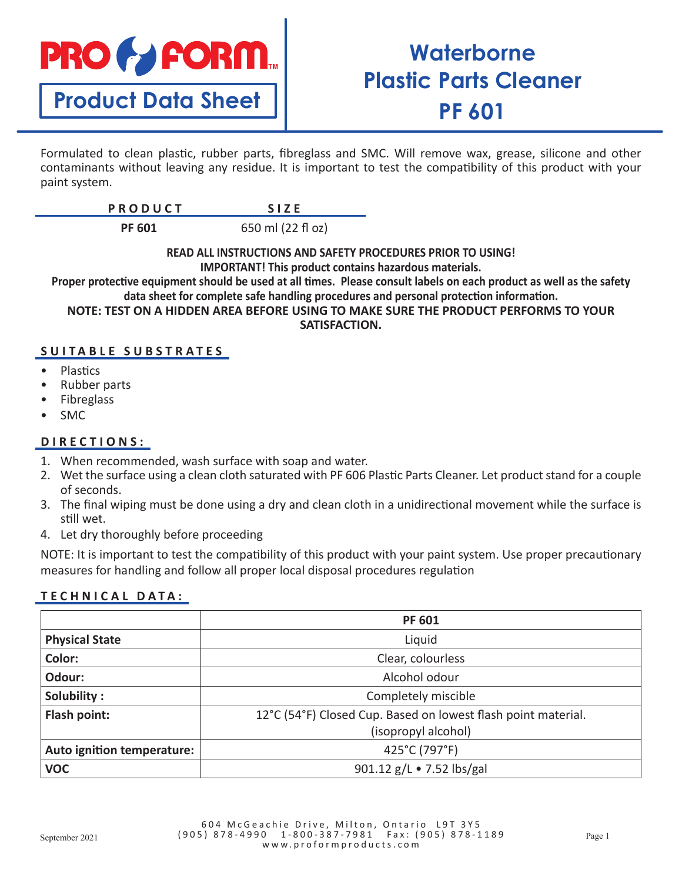

## **Waterborne Plastic Parts Cleaner PF 601**

Formulated to clean plastic, rubber parts, fibreglass and SMC. Will remove wax, grease, silicone and other contaminants without leaving any residue. It is important to test the compatibility of this product with your paint system.

| $\begin{array}{c}\n0 \\ 0 \\ 0\n\end{array}$<br>11 U U U L I |  |
|--------------------------------------------------------------|--|
|                                                              |  |

**PF 601** 650 ml (22 fl oz)

**READ ALL INSTRUCTIONS AND SAFETY PROCEDURES PRIOR TO USING! IMPORTANT! This product contains hazardous materials.**

**Proper protective equipment should be used at all times. Please consult labels on each product as well as the safety data sheet for complete safe handling procedures and personal protection information. NOTE: TEST ON A HIDDEN AREA BEFORE USING TO MAKE SURE THE PRODUCT PERFORMS TO YOUR** 

**SATISFACTION.**

## **SUITABLE SUBSTRATES**

- Plastics
- Rubber parts
- **Fibreglass**
- SMC

## **DIRECTIONS:**

- 1. When recommended, wash surface with soap and water.
- 2. Wet the surface using a clean cloth saturated with PF 606 Plastic Parts Cleaner. Let product stand for a couple of seconds.
- 3. The final wiping must be done using a dry and clean cloth in a unidirectional movement while the surface is still wet.
- 4. Let dry thoroughly before proceeding

NOTE: It is important to test the compatibility of this product with your paint system. Use proper precautionary measures for handling and follow all proper local disposal procedures regulation

## **TECHNICAL DATA:**

|                            | <b>PF 601</b>                                                 |
|----------------------------|---------------------------------------------------------------|
| <b>Physical State</b>      | Liquid                                                        |
| Color:                     | Clear, colourless                                             |
| Odour:                     | Alcohol odour                                                 |
| Solubility:                | Completely miscible                                           |
| Flash point:               | 12°C (54°F) Closed Cup. Based on lowest flash point material. |
|                            | (isopropyl alcohol)                                           |
| Auto ignition temperature: | 425°C (797°F)                                                 |
| <b>VOC</b>                 | 901.12 g/L • 7.52 lbs/gal                                     |